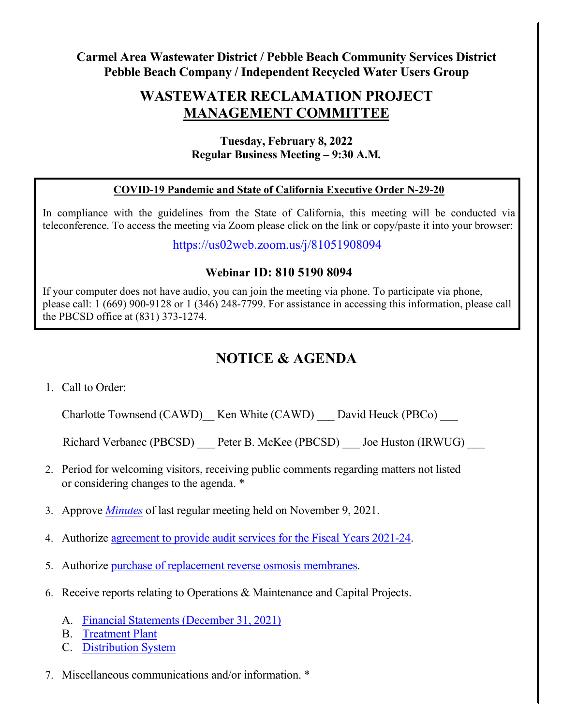### **Carmel Area Wastewater District / Pebble Beach Community Services District Pebble Beach Company / Independent Recycled Water Users Group**

## **WASTEWATER RECLAMATION PROJECT MANAGEMENT COMMITTEE**

#### **Tuesday, February 8, 2022 Regular Business Meeting – 9:30 A.M***.*

#### **COVID-19 Pandemic and State of California Executive Order N-29-20**

In compliance with the guidelines from the State of California, this meeting will be conducted via teleconference. To access the meeting via Zoom please click on the link or copy/paste it into your browser:

<https://us02web.zoom.us/j/81051908094>

#### **Webinar ID: 810 5190 8094**

If your computer does not have audio, you can join the meeting via phone. To participate via phone, please call: 1 (669) 900-9128 or 1 (346) 248-7799. For assistance in accessing this information, please call the PBCSD office at (831) 373-1274.

# **NOTICE & AGENDA**

1. Call to Order:

Charlotte Townsend (CAWD) Ken White (CAWD) David Heuck (PBCo)

Richard Verbanec (PBCSD) Peter B. McKee (PBCSD) Joe Huston (IRWUG)

- 2. Period for welcoming visitors, receiving public comments regarding matters not listed or considering changes to the agenda. \*
- 3. Approve *[Minutes](https://pbcsd.org/wp-content/uploads/2022/02/03-RMC-Meeting-Minutes-for-Nov.-9-2021.pdf)* of last regular meeting held on November 9, 2021.
- 4. Authorize [agreement to provide audit services for the Fiscal Years 2021-24.](https://pbcsd.org/wp-content/uploads/2022/02/04-Reclamation-Audit-Services-for-FY-2021-24-Report.pdf)
- 5. Authorize [purchase of replacement reverse osmosis membranes.](https://pbcsd.org/wp-content/uploads/2022/02/05-CAWD-Reverse-Osmosis-Membranes-Purchase-Report.pdf)
- 6. Receive reports relating to Operations & Maintenance and Capital Projects.
	- A. [Financial Statements \(December 31,](https://pbcsd.org/wp-content/uploads/2022/02/06A-Financial-Statements-for-2nd-Quarter-Dec.-2021.pdf) 2021)
	- B. [Treatment Plant](https://pbcsd.org/wp-content/uploads/2022/02/06B-Treatment-Plant-Report.pdf)
	- C. [Distribution System](https://pbcsd.org/wp-content/uploads/2022/02/06C-Distribution-System_Capital-OM-Report.pdf)
- 7. Miscellaneous communications and/or information. \*